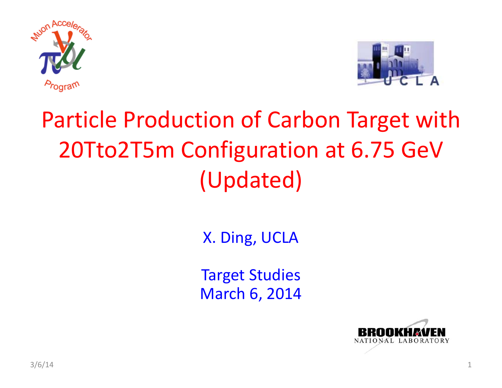



### Particle Production of Carbon Target with 20Tto2T5m Configuration at 6.75 GeV (Updated)

X. Ding, UCLA

Target Studies March 6, 2014

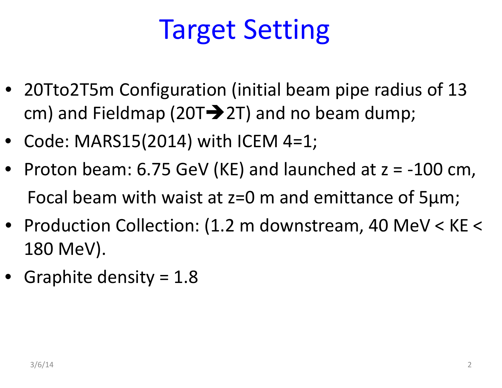# Target Setting

- 20Tto2T5m Configuration (initial beam pipe radius of 13 cm) and Fieldmap (20T $\rightarrow$ 2T) and no beam dump;
- Code: MARS15(2014) with ICEM 4=1;
- Proton beam: 6.75 GeV (KE) and launched at <sup>z</sup> <sup>=</sup> ‐100 cm, Focal beam with waist at z=0 <sup>m</sup> and emittance of 5μm;
- Production Collection: (1.2 <sup>m</sup> downstream, 40 MeV <sup>&</sup>lt; KE <sup>&</sup>lt; 180 MeV).
- Graphite density <sup>=</sup> 1.8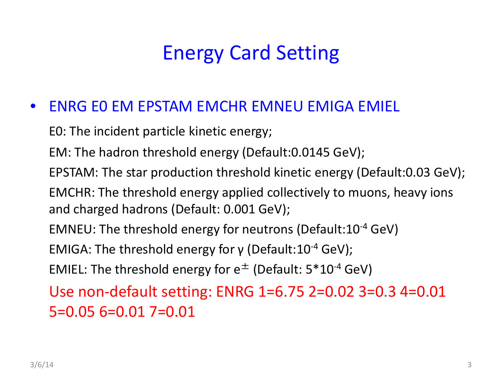### Energy Card Setting

#### $\bullet$ ENRG E0 EM EPSTAM EMCHR EMNEU EMIGA EMIEL

E0: The incident particle kinetic energy;

EM: The hadron threshold energy (Default:0.0145 GeV);

EPSTAM: The star production threshold kinetic energy (Default:0.03 GeV);

EMCHR: The threshold energy applied collectively to muons, heavy ions and charged hadrons (Default: 0.001 GeV);

<code>EMNEU:</code> The threshold energy for neutrons (Default:10<sup>-4</sup> GeV)

EMIGA: The threshold energy for γ (Default:10<sup>-4</sup> GeV);

EMIEL: The threshold energy for  $\mathsf{e}^\pm$  (Default: 5\*10<sup>-4</sup> GeV)

Use non‐default setting: ENRG 1=6.75 2=0.02 3=0.3 4=0.01 5=0.05 6=0.01 7=0.01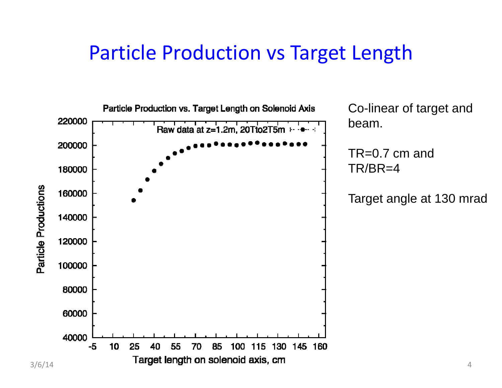#### Particle Production vs Target Length

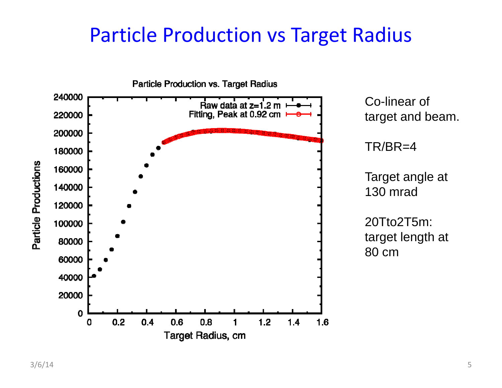#### Particle Production vs Target Radius

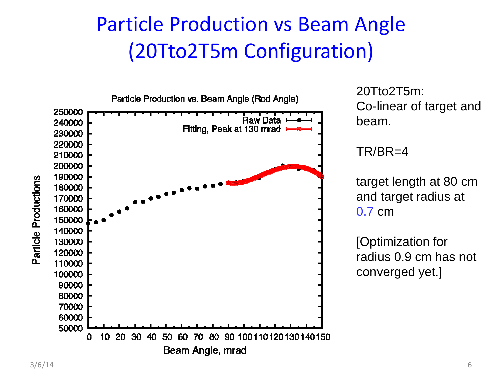### Particle Production vs Beam Angle (20Tto2T5m Configuration)



20Tto2T5m: Co-linear of target and

TR/BR=4

target length at 80 cm and target radius at 0.7 cm

[Optimization for radius 0.9 cm has not converged yet.]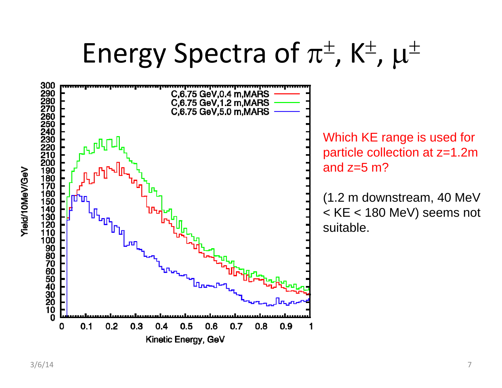# Energy Spectra of  $\pi^{\pm}$ , K<sup> $\pm$ </sup>,  $\mu^{\pm}$

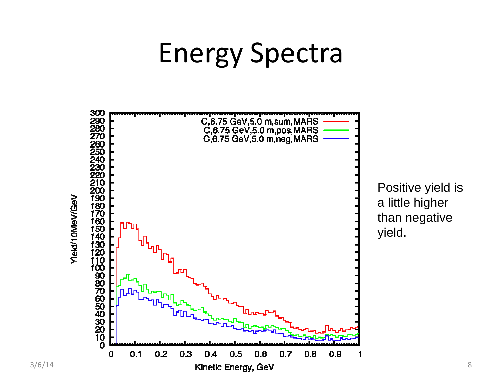# Energy Spectra

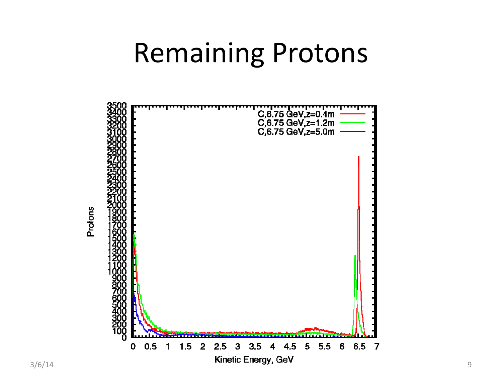## Remaining Protons



Protons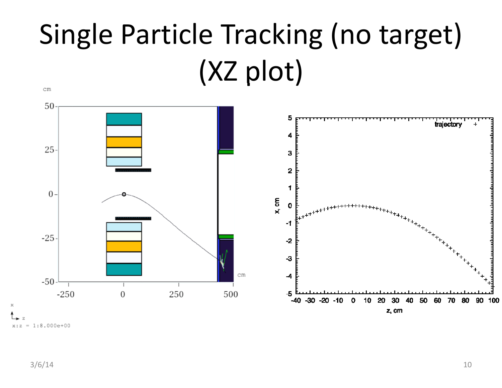### Single Particle Tracking (no target) (XZ plot) cm

![](_page_9_Figure_1.jpeg)

 $= 1:8.000e+00$  $x:z$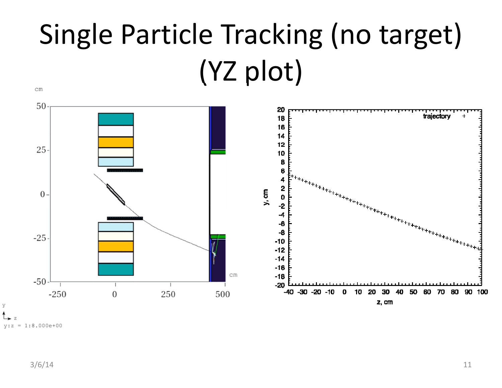### Single Particle Tracking (no target) (YZ plot)  $\, cm$

![](_page_10_Figure_1.jpeg)

![](_page_10_Figure_2.jpeg)